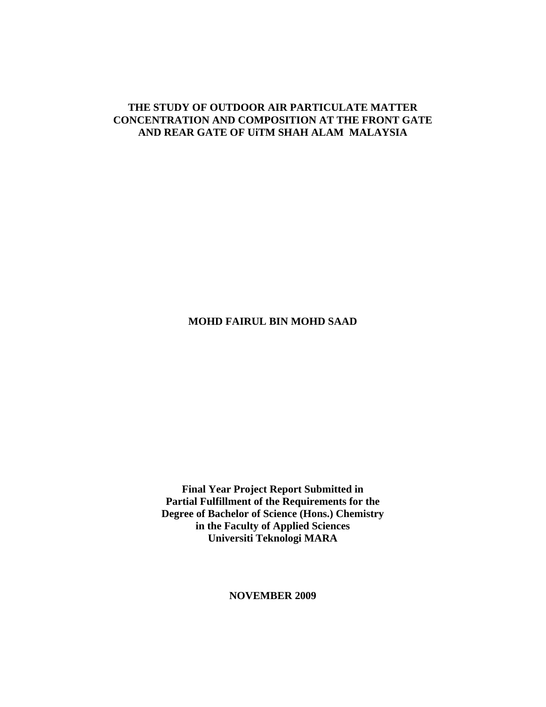## **THE STUDY OF OUTDOOR AIR PARTICULATE MATTER CONCENTRATION AND COMPOSITION AT THE FRONT GATE AND REAR GATE OF UiTM SHAH ALAM MALAYSIA**

## **MOHD FAIRUL BIN MOHD SAAD**

**Final Year Project Report Submitted in Partial Fulfillment of the Requirements for the Degree of Bachelor of Science (Hons.) Chemistry in the Faculty of Applied Sciences Universiti Teknologi MARA**

**NOVEMBER 2009**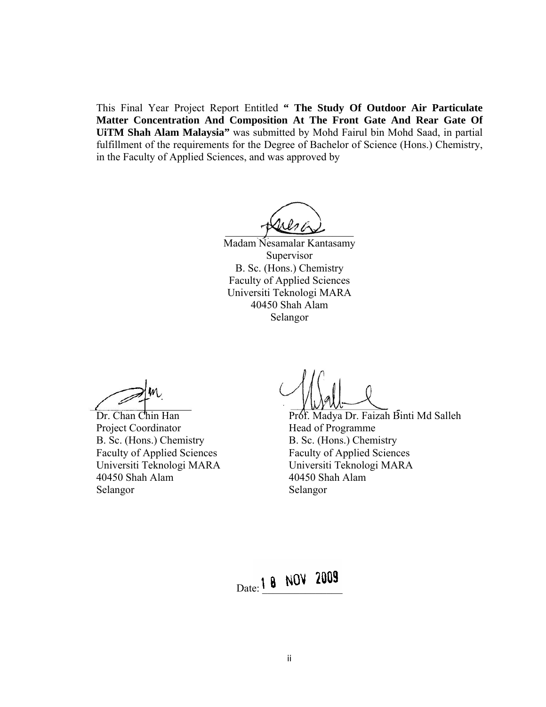This Final Year Project Report Entitled **" The Study Of Outdoor Air Particulate Matter Concentration And Composition At The Front Gate And Rear Gate Of UiTM Shah Alam Malaysia"** was submitted by Mohd Fairul bin Mohd Saad, in partial fulfillment of the requirements for the Degree of Bachelor of Science (Hons.) Chemistry, in the Faculty of Applied Sciences, and was approved by

 $\frac{1}{2}$ 

Madam Nesamalar Kantasamy Supervisor B. Sc. (Hons.) Chemistry Faculty of Applied Sciences Universiti Teknologi MARA 40450 Shah Alam Selangor

Project Coordinator Head of Programme B. Sc. (Hons.) Chemistry<br>
Faculty of Applied Sciences<br>
Faculty of Applied Sciences 40450 Shah Alam 40450 Shah Alam Selangor Selangor

Dr. Chan Chin Han Prof. Madya Dr. Faizah Binti Md Salleh Faculty of Applied Sciences Faculty of Applied Sciences Universiti Teknologi MARA Universiti Teknologi MARA

Date: 1 8 NOV 2009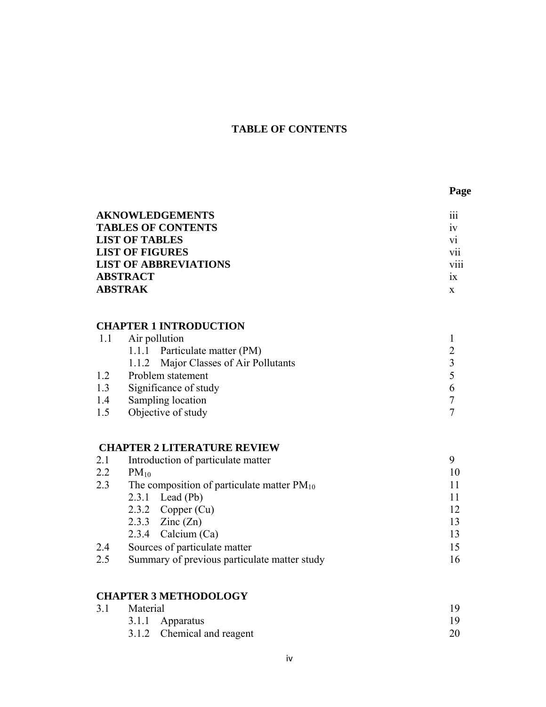## **TABLE OF CONTENTS**

| <b>AKNOWLEDGEMENTS</b>       | .<br>111         |
|------------------------------|------------------|
| <b>TABLES OF CONTENTS</b>    | 1V               |
| <b>LIST OF TABLES</b>        | V1               |
| <b>LIST OF FIGURES</b>       | V11              |
| <b>LIST OF ABBREVIATIONS</b> | $\cdots$<br>V111 |
| <b>ABSTRACT</b>              | 1X               |
| ABSTRAK                      | X                |

## **CHAPTER 1 INTRODUCTION**

| 1.1 | Air pollution                         |  |  |  |
|-----|---------------------------------------|--|--|--|
|     | 1.1.1 Particulate matter (PM)         |  |  |  |
|     | 1.1.2 Major Classes of Air Pollutants |  |  |  |
| 1.2 | Problem statement                     |  |  |  |
| 1.3 | Significance of study                 |  |  |  |
| 1.4 | Sampling location                     |  |  |  |
| 1.5 | Objective of study                    |  |  |  |
|     |                                       |  |  |  |

# **CHAPTER 2 LITERATURE REVIEW**

| 2.1 | Introduction of particulate matter              |    |  |
|-----|-------------------------------------------------|----|--|
| 2.2 | $PM_{10}$                                       | 10 |  |
| 2.3 | The composition of particulate matter $PM_{10}$ |    |  |
|     | $2.3.1$ Lead (Pb)                               | 11 |  |
|     | 2.3.2 Copper $(Cu)$                             | 12 |  |
|     | 2.3.3 $\text{Zinc}(\text{Zn})$                  | 13 |  |
|     | 2.3.4 Calcium $(Ca)$                            | 13 |  |
| 2.4 | Sources of particulate matter                   | 15 |  |
| 2.5 | Summary of previous particulate matter study    | 16 |  |
|     |                                                 |    |  |

|     | <b>CHAPTER 3 METHODOLOGY</b> |    |
|-----|------------------------------|----|
| 3.1 | Material                     |    |
|     | 3.1.1 Apparatus              |    |
|     | 3.1.2 Chemical and reagent   | 20 |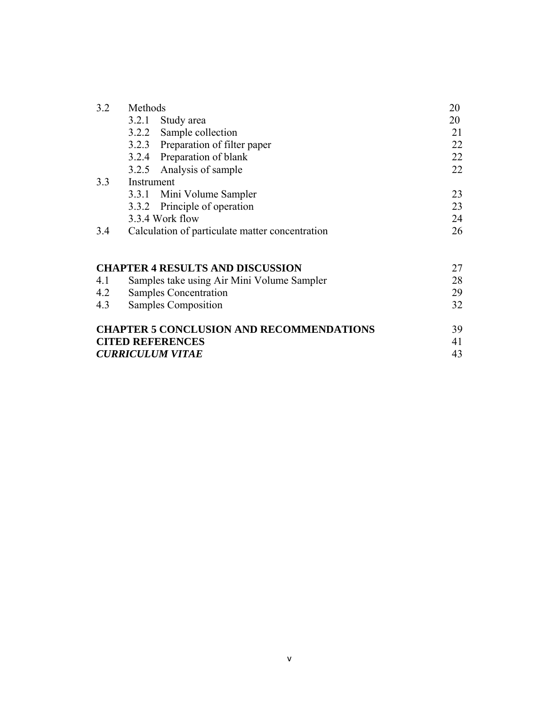| 3.2                     | Methods    |                                                 | 20 |
|-------------------------|------------|-------------------------------------------------|----|
|                         |            | 3.2.1 Study area                                | 20 |
|                         |            | 3.2.2 Sample collection                         | 21 |
|                         |            | 3.2.3 Preparation of filter paper               | 22 |
|                         |            | 3.2.4 Preparation of blank                      | 22 |
|                         | 3.2.5      | Analysis of sample                              | 22 |
| 3.3                     | Instrument |                                                 |    |
|                         |            | 3.3.1 Mini Volume Sampler                       | 23 |
|                         | 3.3.2      | Principle of operation                          | 23 |
|                         |            | 3.3.4 Work flow                                 | 24 |
| 3.4                     |            | Calculation of particulate matter concentration | 26 |
|                         |            | <b>CHAPTER 4 RESULTS AND DISCUSSION</b>         | 27 |
| 4.1                     |            | Samples take using Air Mini Volume Sampler      | 28 |
| 4.2                     |            | <b>Samples Concentration</b>                    | 29 |
| 4.3                     |            | Samples Composition                             | 32 |
|                         |            | <b>CHAPTER 5 CONCLUSION AND RECOMMENDATIONS</b> | 39 |
| <b>CITED REFERENCES</b> |            |                                                 | 41 |
|                         |            | <b>CURRICULUM VITAE</b>                         | 43 |